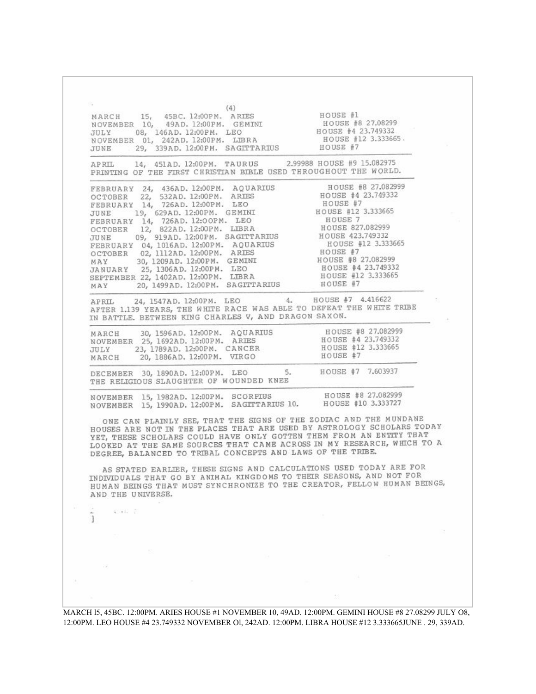$(4)$ MARCH 15, 45BC. 12:00PM. ARIES<br>NOVEMBER 10, 49AD. 12:00PM. GEMINI HOUSE #1 HOUSE #8 27,08299 JULY 08. 146AD. 12:00PM. LEO HOUSE #4 23.749332 HOUSE #12 3.333665. NOVEMBER 01, 242AD. 12:00PM. LIBRA JUNE 29, 339AD. 12:00PM. SAGITTARIUS HOUSE #7 2.99988 HOUSE #9 15.082975 APRIL 14, 451AD. 12:00PM. TAURUS PRINTING OF THE FIRST CHRISTIAN BIBLE USED THROUGHOUT THE WORLD. FEBRUARY 24, 436AD. 12:00PM. AQUARIUS HOUSE #8 27.082999 HOUSE #4 23.749332 OCTOBER 22, 532AD. 12:00PM. ARIES FEBRUARY 14, 726AD. 12:00PM. LEO HOUSE #7 HOUSE #12 3.333665 19, 629AD. 12:00PM. GEMINI JUNE FEBRUARY 14, 726AD. 12:00PM. LEO<br>OCTOBER 12, 822AD. 12:00PM. LIBRA<br>JUNE 09, 919AD. 12:00PM. SAGITTARIUS HOUSE<sub>7</sub> HOUSE 827.082999 HOUSE 423,749332 FEBRUARY 04, 1016AD. 12:00PM. AQUARIUS<br>OCTOBER 02, 1112AD. 12:00PM. ARIES HOUSE #12 3.333665 HOUSE #7 HOUSE #8 27.082999 MAY 30, 1209AD. 12:00PM. GEMINI JANUARY 25, 1306AD. 12:00PM. LEO<br>SEPTEMBER 22, 1402AD. 12:00PM. LIBRA HOUSE #4 23.749332 HOUSE #12 3.333665 20, 1499AD. 12:00PM. SAGITTARIUS HOUSE #7 MAY HOUSE #7 4.416622 24, 1547AD. 12:00PM. LEO  $4.$ APRTL. APRIL 24, 154/AD. 12:00PM. LEO 4. NOUSE #7 4.410022 IN BATTLE, BETWEEN KING CHARLES V, AND DRAGON SAXON. HOUSE #8 27,082999 30, 1596AD. 12:00PM. AQUARIUS MARCH NOVEMBER 25, 1692AD. 12:00PM. ARIES HOUSE #4 23.749332 HOUSE #12 3.333665 23, 1789AD. 12:00PM. CANCER JULY 20, 1886AD. 12:00PM. VIRGO HOUSE #7 MARCH DECEMBER 30, 1890AD. 12:00PM. LEO HOUSE #7 7.603937  $5.$ THE RELIGIOUS SLAUGHTER OF WOUNDED KNEE HOUSE #8 27.082999 NOVEMBER 15, 1982AD. 12:00PM. SCORPIUS HOUSE #10 3.333727 NOVEMBER 15, 1990AD. 12:00PM. SAGITTARIUS 10. ONE CAN PLAINLY SEE, THAT THE SIGNS OF THE ZODIAC AND THE MUNDANE HOUSES ARE NOT IN THE PLACES THAT ARE USED BY ASTROLOGY SCHOLARS TODAY YET, THESE SCHOLARS COULD HAVE ONLY GOTTEN THEM FROM AN ENTITY THAT LOOKED AT THE SAME SOURCES THAT CAME ACROSS IN MY RESEARCH, WHICH TO A DEGREE, BALANCED TO TRIBAL CONCEPTS AND LAWS OF THE TRIBE. AS STATED EARLIER, THESE SIGNS AND CALCULATIONS USED TODAY ARE FOR INDIVIDUALS THAT GO BY ANIMAL KINGDOMS TO THEIR SEASONS, AND NOT FOR HUMAN BEINGS THAT MUST SYNCHRONIZE TO THE CREATOR, FELLOW HUMAN BEINGS, AND THE UNIVERSE. 45.442 3 1 MARCH l5, 45BC. 12:00PM. ARIES HOUSE #1 NOVEMBER 10, 49AD. 12:00PM. GEMINI HOUSE #8 27.08299 JULY O8,

12:00PM. LEO HOUSE #4 23.749332 NOVEMBER Ol, 242AD. 12:00PM. LIBRA HOUSE #12 3.333665JUNE . 29, 339AD.